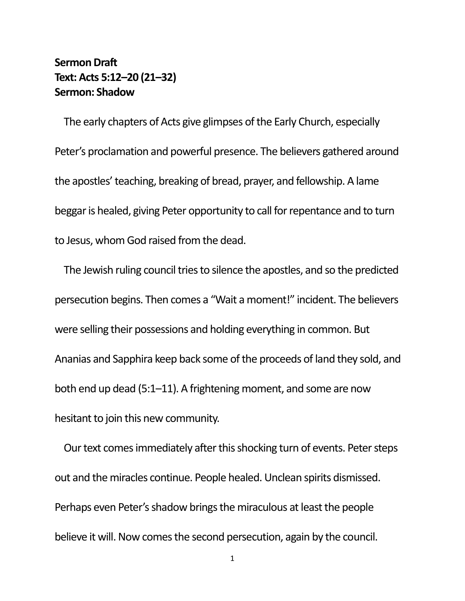## **Sermon Draft Text: Acts 5:12–20 (21–32) Sermon: Shadow**

The early chapters of Acts give glimpses of the Early Church, especially Peter's proclamation and powerful presence. The believers gathered around the apostles' teaching, breaking of bread, prayer, and fellowship. A lame beggar is healed, giving Peter opportunity to call for repentance and to turn to Jesus, whom God raised from the dead.

The Jewish ruling council tries to silence the apostles, and so the predicted persecution begins. Then comes a "Wait a moment!" incident. The believers were selling their possessions and holding everything in common. But Ananias and Sapphira keep back some of the proceeds of land they sold, and both end up dead (5:1–11). A frightening moment, and some are now hesitant to join this new community.

Our text comes immediately after this shocking turn of events. Peter steps out and the miracles continue. People healed. Unclean spirits dismissed. Perhaps even Peter's shadow brings the miraculous at least the people believe it will. Now comes the second persecution, again by the council.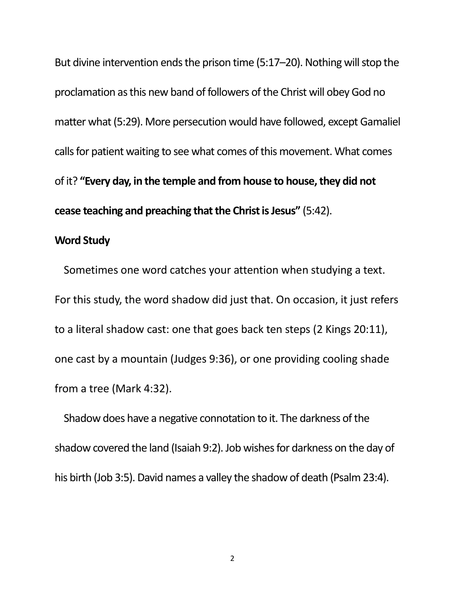But divine intervention ends the prison time (5:17–20). Nothing will stop the proclamation as this new band of followers of the Christ will obey God no matter what (5:29). More persecution would have followed, except Gamaliel calls for patient waiting to see what comes of this movement. What comes of it? **"Every day, in the temple and from house to house, they did not cease teaching and preaching that the Christ is Jesus"** (5:42).

## **Word Study**

Sometimes one word catches your attention when studying a text. For this study, the word shadow did just that. On occasion, it just refers to a literal shadow cast: one that goes back ten steps (2 Kings 20:11), one cast by a mountain (Judges 9:36), or one providing cooling shade from a tree (Mark 4:32).

Shadow does have a negative connotation to it. The darkness of the shadow covered the land (Isaiah 9:2). Job wishes for darkness on the day of his birth (Job 3:5). David names a valley the shadow of death (Psalm23:4).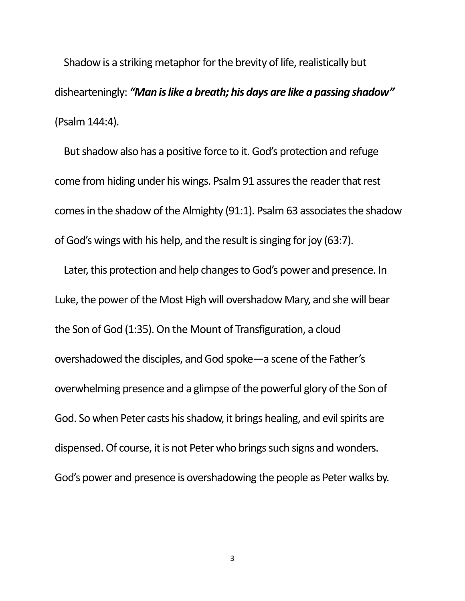Shadow is a striking metaphor for the brevity of life, realistically but dishearteningly: *"Man is like a breath; his days are like a passing shadow"* (Psalm144:4).

But shadow also has a positive force to it. God's protection and refuge come from hiding under his wings. Psalm 91 assures the reader that rest comes in the shadow of the Almighty (91:1). Psalm 63 associates the shadow of God's wings with his help, and the result is singing for joy (63:7).

Later, this protection and help changes to God's power and presence. In Luke, the power of the Most High will overshadow Mary, and she will bear the Son of God (1:35). On the Mount of Transfiguration, a cloud overshadowed the disciples, and God spoke—a scene of the Father's overwhelming presence and a glimpse of the powerful glory of the Son of God. So when Peter casts his shadow, it brings healing, and evil spirits are dispensed. Of course, it is not Peter who brings such signs and wonders. God's power and presence is overshadowing the people as Peter walks by.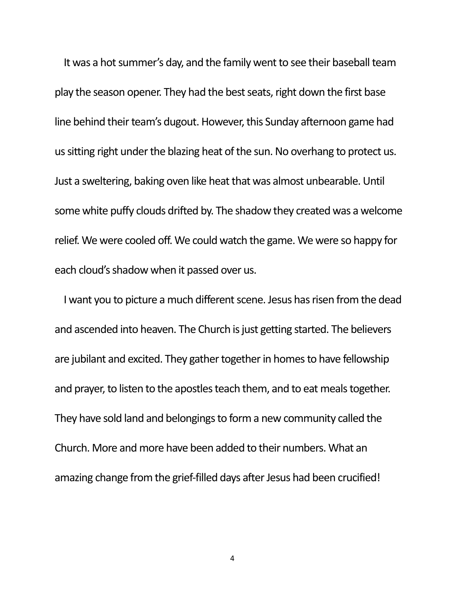It was a hot summer's day, and the family went to see their baseball team play the season opener. They had the best seats, right down the first base line behind their team's dugout. However, this Sunday afternoon game had us sitting right under the blazing heat of the sun. No overhang to protect us. Just a sweltering, baking oven like heat that was almost unbearable. Until some white puffy clouds drifted by. The shadow they created was a welcome relief. We were cooled off. We could watch the game. We were so happy for each cloud's shadow when it passed over us.

I want you to picture a much different scene. Jesus has risen from the dead and ascended into heaven. The Church is just getting started. The believers are jubilant and excited. They gather together in homes to have fellowship and prayer, to listen to the apostles teach them, and to eat meals together. They have sold land and belongings to form a new community called the Church. More and more have been added to their numbers. What an amazing change from the grief-filled days after Jesus had been crucified!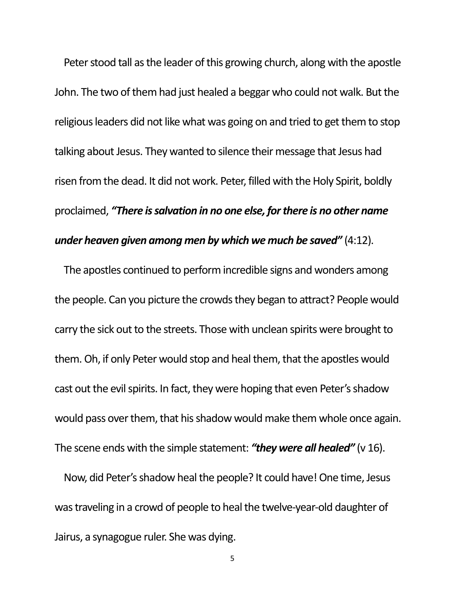Peter stood tall as the leader of this growing church, along with the apostle John. The two of them had just healed a beggar who could not walk. But the religious leaders did not like what was going on and tried to get them to stop talking about Jesus. They wanted to silence their message that Jesus had risen from the dead. It did not work. Peter, filled with the Holy Spirit, boldly proclaimed, *"There is salvation in no one else, for there is no other name under heaven given among men by which we much be saved"* (4:12).

The apostles continued to perform incredible signs and wonders among the people. Can you picture the crowds they began to attract? People would carry the sick out to the streets. Those with unclean spirits were brought to them. Oh, if only Peter would stop and heal them, that the apostles would cast out the evil spirits. In fact, they were hoping that even Peter's shadow would pass over them, that his shadow would make them whole once again. The scene ends with the simple statement: *"they were all healed"* (v 16).

Now, did Peter's shadow heal the people? It could have! One time, Jesus was traveling in a crowd of people to heal the twelve-year-old daughter of Jairus, a synagogue ruler. She was dying.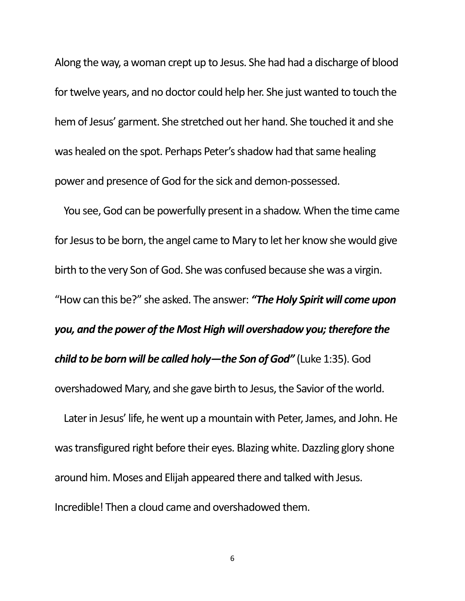Along the way, a woman crept up to Jesus. She had had a discharge of blood for twelve years, and no doctor could help her. She just wanted to touch the hem of Jesus' garment. She stretched out her hand. She touched it and she was healed on the spot. Perhaps Peter's shadow had that same healing power and presence of God for the sick and demon-possessed.

You see, God can be powerfully present in a shadow. When the time came for Jesus to be born, the angel came to Mary to let her know she would give birth to the very Son of God. She was confused because she was a virgin. "How can this be?" she asked. The answer: *"The Holy Spirit will come upon you, and the power of the Most High will overshadow you; therefore the child to be born will be called holy—the Son of God"* (Luke 1:35). God overshadowed Mary, and she gave birth to Jesus, the Savior of the world.

Later in Jesus' life, he went up a mountain with Peter, James, and John. He was transfigured right before their eyes. Blazing white. Dazzling glory shone around him. Moses and Elijah appeared there and talked with Jesus. Incredible! Then a cloud came and overshadowed them.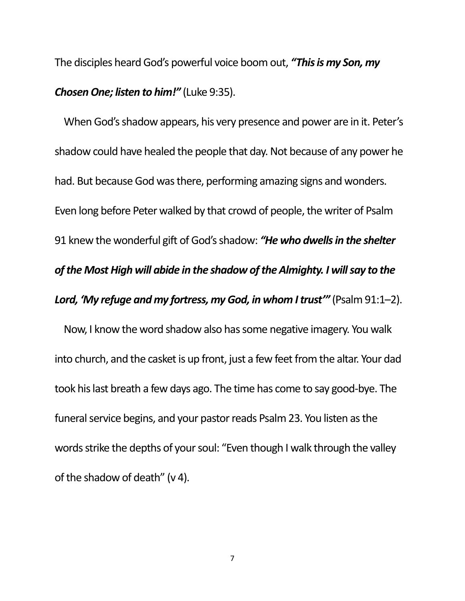The disciples heard God's powerful voice boom out, *"This is my Son, my Chosen One; listen to him!"* (Luke 9:35).

When God's shadow appears, his very presence and power are in it. Peter's shadow could have healed the people that day. Not because of any power he had. But because God was there, performing amazing signs and wonders. Even long before Peter walked by that crowd of people, the writer of Psalm 91 knew the wonderful gift of God's shadow: *"He who dwells in the shelter of the Most High will abide in the shadow of the Almighty. I will say to the*  Lord, 'My refuge and my fortress, my God, in whom I trust'" (Psalm 91:1-2).

Now, I know the word shadow also has some negative imagery. You walk into church, and the casket is up front, just a few feet from the altar. Your dad took his last breath a few days ago. The time has come to say good-bye. The funeral service begins, and your pastor reads Psalm 23. You listen as the words strike the depths of your soul: "Even though I walk through the valley of the shadow of death" (v 4).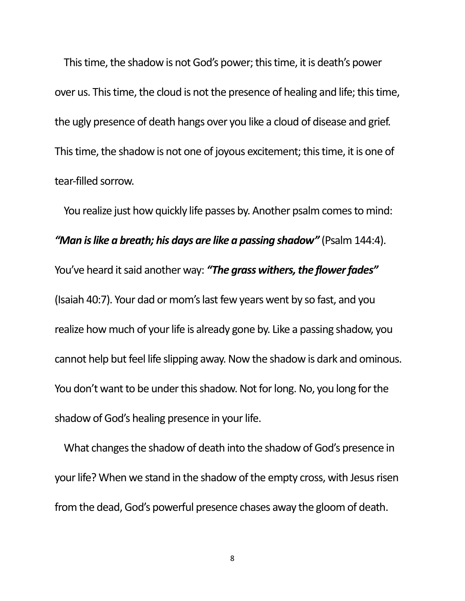This time, the shadow is not God's power; this time, it is death's power over us. This time, the cloud is not the presence of healing and life; this time, the ugly presence of death hangs over you like a cloud of disease and grief. This time, the shadow is not one of joyous excitement; this time, it is one of tear-filled sorrow.

You realize just how quickly life passes by. Another psalm comes to mind: *"Man is like a breath; his days are like a passing shadow"* (Psalm 144:4). You've heard it said another way: *"The grass withers, the flower fades"* (Isaiah 40:7). Your dad or mom's last few years went by so fast, and you realize how much of your life is already gone by. Like a passing shadow, you cannot help but feel life slipping away. Now the shadow is dark and ominous. You don't want to be under this shadow. Not for long. No, you long for the shadow of God's healing presence in your life.

What changes the shadow of death into the shadow of God's presence in your life? When we stand in the shadow of the empty cross, with Jesus risen from the dead, God's powerful presence chases away the gloom of death.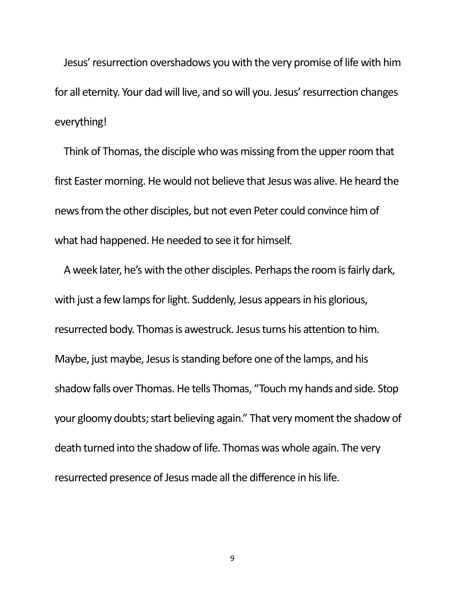Jesus' resurrection overshadows you with the very promise of life with him for all eternity. Your dad will live, and so will you. Jesus' resurrection changes everything!

Think of Thomas, the disciple who was missing from the upper room that first Easter morning. He would not believe that Jesus was alive. He heard the news from the other disciples, but not even Peter could convince him of what had happened. He needed to see it for himself.

A week later, he's with the other disciples. Perhaps the room is fairly dark, with just a few lamps for light. Suddenly, Jesus appears in his glorious, resurrected body. Thomas is awestruck. Jesus turns his attention to him. Maybe, just maybe, Jesus is standing before one of the lamps, and his shadow falls over Thomas. He tells Thomas, "Touch my hands and side. Stop your gloomy doubts; start believing again." That very moment the shadow of death turned into the shadow of life. Thomas was whole again. The very resurrected presence of Jesus made all the difference in his life.